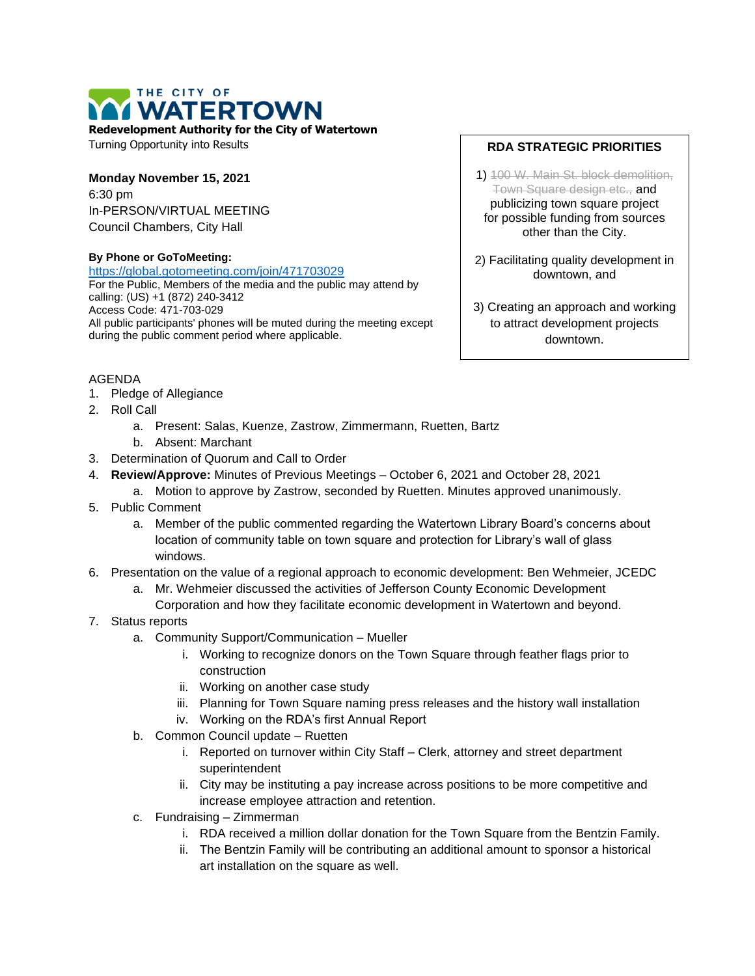## THE CITY OF **WATERTOWN**

**Redevelopment Authority for the City of Watertown**

Turning Opportunity into Results

**Monday November 15, 2021** 6:30 pm In-PERSON/VIRTUAL MEETING Council Chambers, City Hall

## **By Phone or GoToMeeting:**

<https://global.gotomeeting.com/join/471703029>

For the Public, Members of the media and the public may attend by calling: (US) +1 (872) 240-3412 Access Code: 471-703-029 All public participants' phones will be muted during the meeting except during the public comment period where applicable.

## **RDA STRATEGIC PRIORITIES**

1) 100 W. Main St. block demolition, Town Square design etc., and publicizing town square project for possible funding from sources other than the City.

2) Facilitating quality development in downtown, and

3) Creating an approach and working to attract development projects downtown.

## AGENDA

- 1. Pledge of Allegiance
- 2. Roll Call
	- a. Present: Salas, Kuenze, Zastrow, Zimmermann, Ruetten, Bartz
	- b. Absent: Marchant
- 3. Determination of Quorum and Call to Order
- 4. **Review/Approve:** Minutes of Previous Meetings October 6, 2021 and October 28, 2021
	- a. Motion to approve by Zastrow, seconded by Ruetten. Minutes approved unanimously.
- 5. Public Comment
	- a. Member of the public commented regarding the Watertown Library Board's concerns about location of community table on town square and protection for Library's wall of glass windows.
- 6. Presentation on the value of a regional approach to economic development: Ben Wehmeier, JCEDC
	- a. Mr. Wehmeier discussed the activities of Jefferson County Economic Development Corporation and how they facilitate economic development in Watertown and beyond.
- 7. Status reports
	- a. Community Support/Communication Mueller
		- i. Working to recognize donors on the Town Square through feather flags prior to construction
		- ii. Working on another case study
		- iii. Planning for Town Square naming press releases and the history wall installation
		- iv. Working on the RDA's first Annual Report
	- b. Common Council update Ruetten
		- i. Reported on turnover within City Staff Clerk, attorney and street department superintendent
		- ii. City may be instituting a pay increase across positions to be more competitive and increase employee attraction and retention.
	- c. Fundraising Zimmerman
		- i. RDA received a million dollar donation for the Town Square from the Bentzin Family.
		- ii. The Bentzin Family will be contributing an additional amount to sponsor a historical art installation on the square as well.